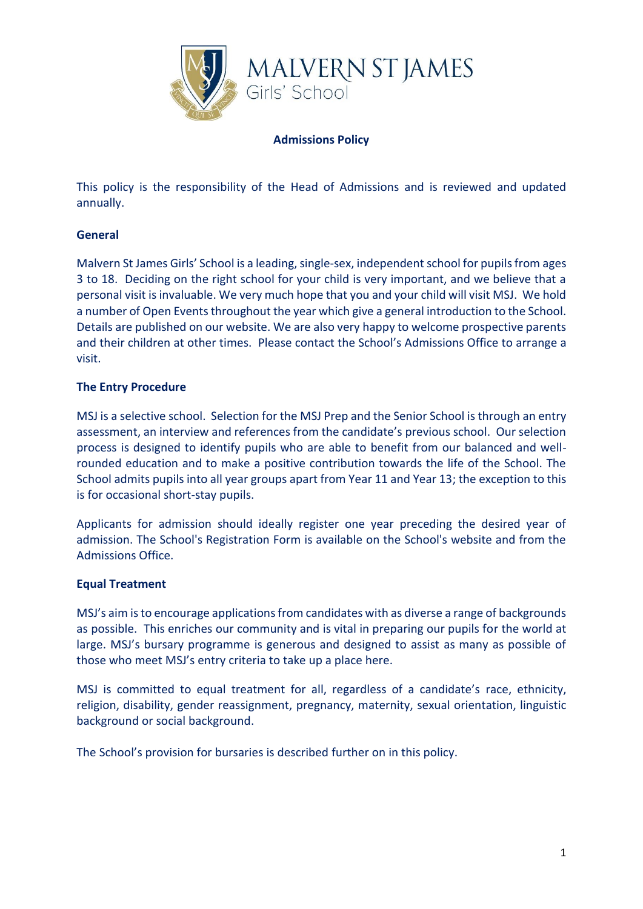

### **Admissions Policy**

This policy is the responsibility of the Head of Admissions and is reviewed and updated annually.

## **General**

Malvern St James Girls' School is a leading, single-sex, independent school for pupils from ages 3 to 18. Deciding on the right school for your child is very important, and we believe that a personal visit is invaluable. We very much hope that you and your child will visit MSJ. We hold a number of Open Events throughout the year which give a general introduction to the School. Details are published on our website. We are also very happy to welcome prospective parents and their children at other times. Please contact the School's Admissions Office to arrange a visit.

### **The Entry Procedure**

MSJ is a selective school. Selection for the MSJ Prep and the Senior School is through an entry assessment, an interview and references from the candidate's previous school. Our selection process is designed to identify pupils who are able to benefit from our balanced and wellrounded education and to make a positive contribution towards the life of the School. The School admits pupils into all year groups apart from Year 11 and Year 13; the exception to this is for occasional short-stay pupils.

Applicants for admission should ideally register one year preceding the desired year of admission. The School's Registration Form is available on the School's website and from the Admissions Office.

### **Equal Treatment**

MSJ's aim is to encourage applications from candidates with as diverse a range of backgrounds as possible. This enriches our community and is vital in preparing our pupils for the world at large. MSJ's bursary programme is generous and designed to assist as many as possible of those who meet MSJ's entry criteria to take up a place here.

MSJ is committed to equal treatment for all, regardless of a candidate's race, ethnicity, religion, disability, gender reassignment, pregnancy, maternity, sexual orientation, linguistic background or social background.

The School's provision for bursaries is described further on in this policy.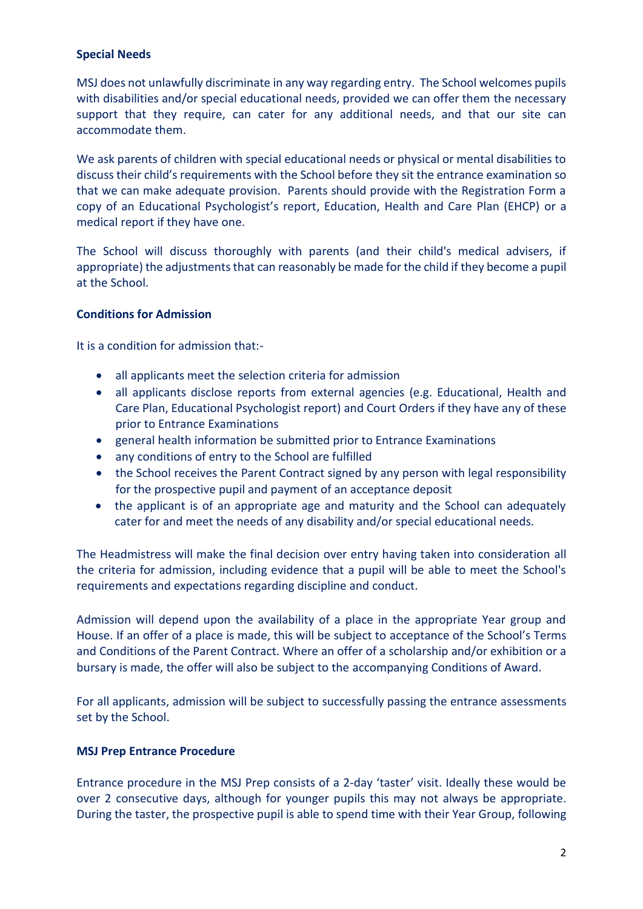## **Special Needs**

MSJ does not unlawfully discriminate in any way regarding entry. The School welcomes pupils with disabilities and/or special educational needs, provided we can offer them the necessary support that they require, can cater for any additional needs, and that our site can accommodate them.

We ask parents of children with special educational needs or physical or mental disabilities to discuss their child's requirements with the School before they sit the entrance examination so that we can make adequate provision. Parents should provide with the Registration Form a copy of an Educational Psychologist's report, Education, Health and Care Plan (EHCP) or a medical report if they have one.

The School will discuss thoroughly with parents (and their child's medical advisers, if appropriate) the adjustments that can reasonably be made for the child if they become a pupil at the School.

## **Conditions for Admission**

It is a condition for admission that:-

- all applicants meet the selection criteria for admission
- all applicants disclose reports from external agencies (e.g. Educational, Health and Care Plan, Educational Psychologist report) and Court Orders if they have any of these prior to Entrance Examinations
- general health information be submitted prior to Entrance Examinations
- any conditions of entry to the School are fulfilled
- the School receives the Parent Contract signed by any person with legal responsibility for the prospective pupil and payment of an acceptance deposit
- the applicant is of an appropriate age and maturity and the School can adequately cater for and meet the needs of any disability and/or special educational needs.

The Headmistress will make the final decision over entry having taken into consideration all the criteria for admission, including evidence that a pupil will be able to meet the School's requirements and expectations regarding discipline and conduct.

Admission will depend upon the availability of a place in the appropriate Year group and House. If an offer of a place is made, this will be subject to acceptance of the School's Terms and Conditions of the Parent Contract. Where an offer of a scholarship and/or exhibition or a bursary is made, the offer will also be subject to the accompanying Conditions of Award.

For all applicants, admission will be subject to successfully passing the entrance assessments set by the School.

### **MSJ Prep Entrance Procedure**

Entrance procedure in the MSJ Prep consists of a 2-day 'taster' visit. Ideally these would be over 2 consecutive days, although for younger pupils this may not always be appropriate. During the taster, the prospective pupil is able to spend time with their Year Group, following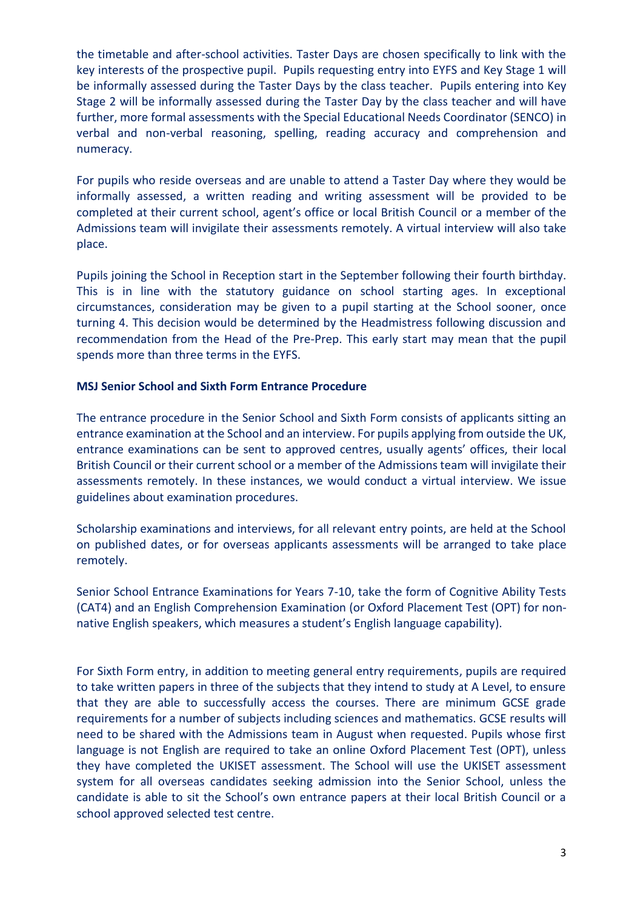the timetable and after-school activities. Taster Days are chosen specifically to link with the key interests of the prospective pupil. Pupils requesting entry into EYFS and Key Stage 1 will be informally assessed during the Taster Days by the class teacher. Pupils entering into Key Stage 2 will be informally assessed during the Taster Day by the class teacher and will have further, more formal assessments with the Special Educational Needs Coordinator (SENCO) in verbal and non-verbal reasoning, spelling, reading accuracy and comprehension and numeracy.

For pupils who reside overseas and are unable to attend a Taster Day where they would be informally assessed, a written reading and writing assessment will be provided to be completed at their current school, agent's office or local British Council or a member of the Admissions team will invigilate their assessments remotely. A virtual interview will also take place.

Pupils joining the School in Reception start in the September following their fourth birthday. This is in line with the statutory guidance on school starting ages. In exceptional circumstances, consideration may be given to a pupil starting at the School sooner, once turning 4. This decision would be determined by the Headmistress following discussion and recommendation from the Head of the Pre-Prep. This early start may mean that the pupil spends more than three terms in the EYFS.

## **MSJ Senior School and Sixth Form Entrance Procedure**

The entrance procedure in the Senior School and Sixth Form consists of applicants sitting an entrance examination at the School and an interview. For pupils applying from outside the UK, entrance examinations can be sent to approved centres, usually agents' offices, their local British Council or their current school or a member of the Admissions team will invigilate their assessments remotely. In these instances, we would conduct a virtual interview. We issue guidelines about examination procedures.

Scholarship examinations and interviews, for all relevant entry points, are held at the School on published dates, or for overseas applicants assessments will be arranged to take place remotely.

Senior School Entrance Examinations for Years 7-10, take the form of Cognitive Ability Tests (CAT4) and an English Comprehension Examination (or Oxford Placement Test (OPT) for nonnative English speakers, which measures a student's English language capability).

For Sixth Form entry, in addition to meeting general entry requirements, pupils are required to take written papers in three of the subjects that they intend to study at A Level, to ensure that they are able to successfully access the courses. There are minimum GCSE grade requirements for a number of subjects including sciences and mathematics. GCSE results will need to be shared with the Admissions team in August when requested. Pupils whose first language is not English are required to take an online Oxford Placement Test (OPT), unless they have completed the UKISET assessment. The School will use the UKISET assessment system for all overseas candidates seeking admission into the Senior School, unless the candidate is able to sit the School's own entrance papers at their local British Council or a school approved selected test centre.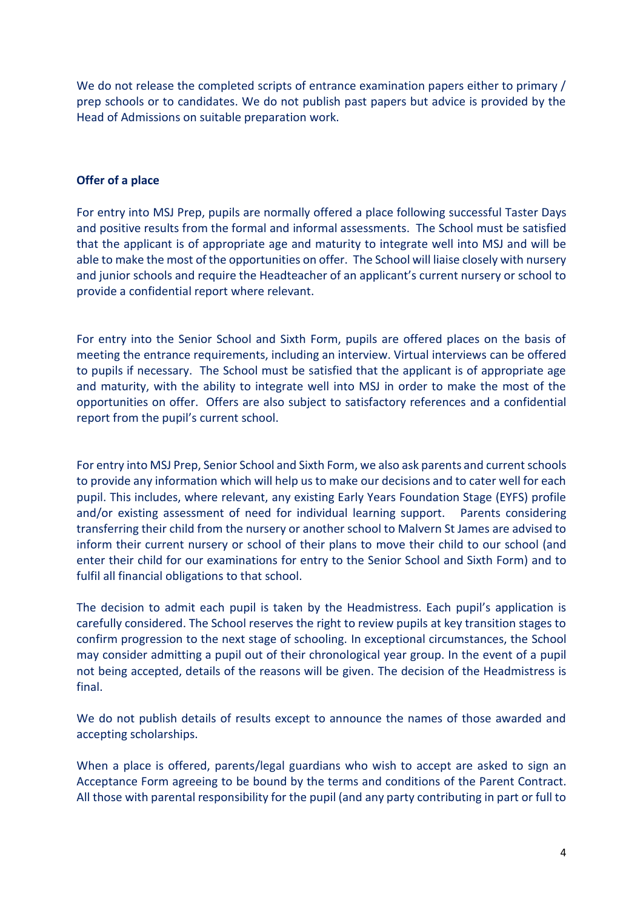We do not release the completed scripts of entrance examination papers either to primary / prep schools or to candidates. We do not publish past papers but advice is provided by the Head of Admissions on suitable preparation work.

### **Offer of a place**

For entry into MSJ Prep, pupils are normally offered a place following successful Taster Days and positive results from the formal and informal assessments. The School must be satisfied that the applicant is of appropriate age and maturity to integrate well into MSJ and will be able to make the most of the opportunities on offer. The School will liaise closely with nursery and junior schools and require the Headteacher of an applicant's current nursery or school to provide a confidential report where relevant.

For entry into the Senior School and Sixth Form, pupils are offered places on the basis of meeting the entrance requirements, including an interview. Virtual interviews can be offered to pupils if necessary. The School must be satisfied that the applicant is of appropriate age and maturity, with the ability to integrate well into MSJ in order to make the most of the opportunities on offer. Offers are also subject to satisfactory references and a confidential report from the pupil's current school.

For entry into MSJ Prep, Senior School and Sixth Form, we also ask parents and current schools to provide any information which will help us to make our decisions and to cater well for each pupil. This includes, where relevant, any existing Early Years Foundation Stage (EYFS) profile and/or existing assessment of need for individual learning support. Parents considering transferring their child from the nursery or another school to Malvern St James are advised to inform their current nursery or school of their plans to move their child to our school (and enter their child for our examinations for entry to the Senior School and Sixth Form) and to fulfil all financial obligations to that school.

The decision to admit each pupil is taken by the Headmistress. Each pupil's application is carefully considered. The School reserves the right to review pupils at key transition stages to confirm progression to the next stage of schooling. In exceptional circumstances, the School may consider admitting a pupil out of their chronological year group. In the event of a pupil not being accepted, details of the reasons will be given. The decision of the Headmistress is final.

We do not publish details of results except to announce the names of those awarded and accepting scholarships.

When a place is offered, parents/legal guardians who wish to accept are asked to sign an Acceptance Form agreeing to be bound by the terms and conditions of the Parent Contract. All those with parental responsibility for the pupil (and any party contributing in part or full to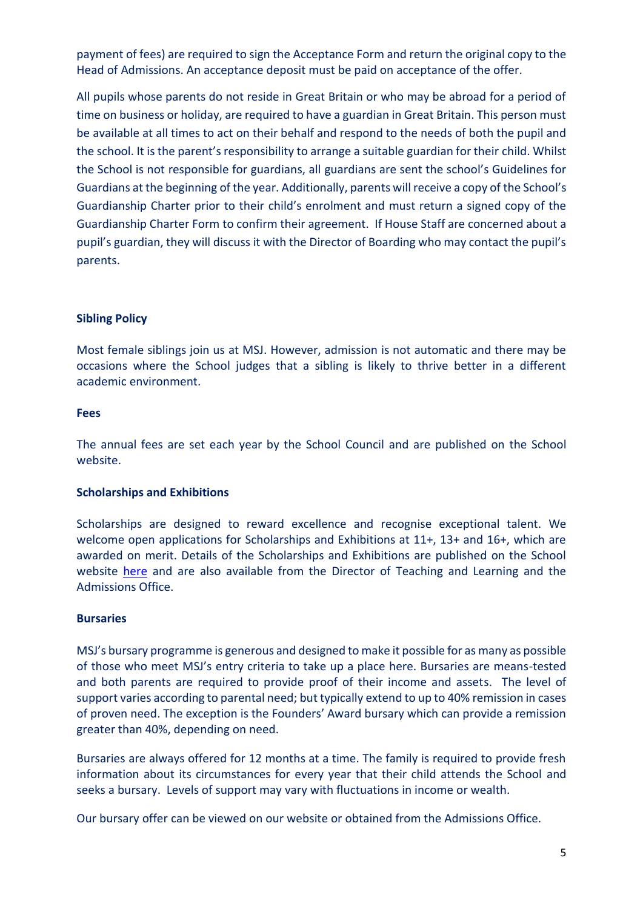payment of fees) are required to sign the Acceptance Form and return the original copy to the Head of Admissions. An acceptance deposit must be paid on acceptance of the offer.

All pupils whose parents do not reside in Great Britain or who may be abroad for a period of time on business or holiday, are required to have a guardian in Great Britain. This person must be available at all times to act on their behalf and respond to the needs of both the pupil and the school. It is the parent's responsibility to arrange a suitable guardian for their child. Whilst the School is not responsible for guardians, all guardians are sent the school's Guidelines for Guardians at the beginning of the year. Additionally, parents will receive a copy of the School's Guardianship Charter prior to their child's enrolment and must return a signed copy of the Guardianship Charter Form to confirm their agreement. If House Staff are concerned about a pupil's guardian, they will discuss it with the Director of Boarding who may contact the pupil's parents.

## **Sibling Policy**

Most female siblings join us at MSJ. However, admission is not automatic and there may be occasions where the School judges that a sibling is likely to thrive better in a different academic environment.

#### **Fees**

The annual fees are set each year by the School Council and are published on the School website.

### **Scholarships and Exhibitions**

Scholarships are designed to reward excellence and recognise exceptional talent. We welcome open applications for Scholarships and Exhibitions at 11+, 13+ and 16+, which are awarded on merit. Details of the Scholarships and Exhibitions are published on the School website [here](http://www.malvernstjames.co.uk/569/admissions/scholarships) and are also available from the Director of Teaching and Learning and the Admissions Office.

#### **Bursaries**

MSJ's bursary programme is generous and designed to make it possible for as many as possible of those who meet MSJ's entry criteria to take up a place here. Bursaries are means-tested and both parents are required to provide proof of their income and assets. The level of support varies according to parental need; but typically extend to up to 40% remission in cases of proven need. The exception is the Founders' Award bursary which can provide a remission greater than 40%, depending on need.

Bursaries are always offered for 12 months at a time. The family is required to provide fresh information about its circumstances for every year that their child attends the School and seeks a bursary. Levels of support may vary with fluctuations in income or wealth.

Our bursary offer can be viewed on our website or obtained from the Admissions Office.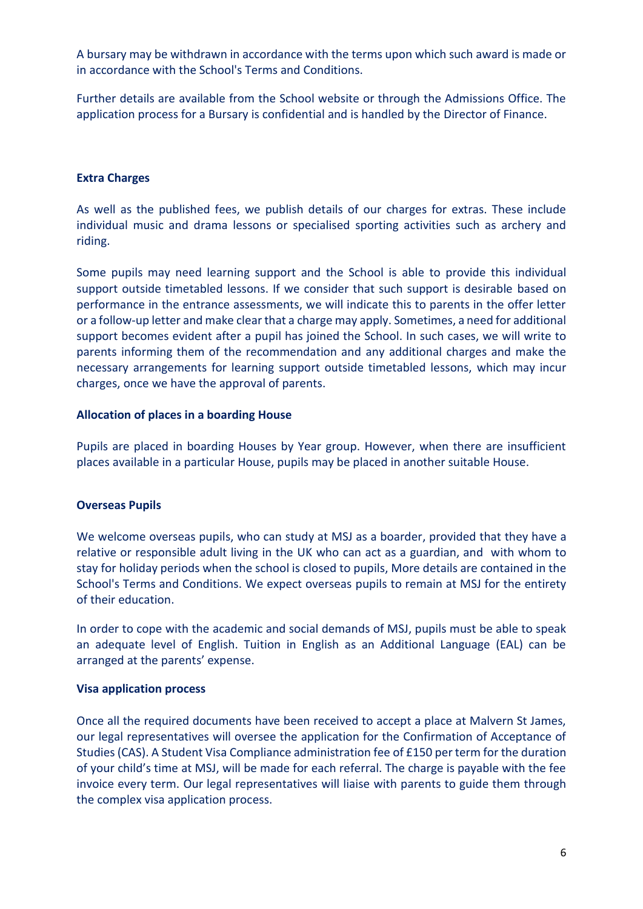A bursary may be withdrawn in accordance with the terms upon which such award is made or in accordance with the School's Terms and Conditions.

Further details are available from the School website or through the Admissions Office. The application process for a Bursary is confidential and is handled by the Director of Finance.

## **Extra Charges**

As well as the published fees, we publish details of our charges for extras. These include individual music and drama lessons or specialised sporting activities such as archery and riding.

Some pupils may need learning support and the School is able to provide this individual support outside timetabled lessons. If we consider that such support is desirable based on performance in the entrance assessments, we will indicate this to parents in the offer letter or a follow-up letter and make clear that a charge may apply. Sometimes, a need for additional support becomes evident after a pupil has joined the School. In such cases, we will write to parents informing them of the recommendation and any additional charges and make the necessary arrangements for learning support outside timetabled lessons, which may incur charges, once we have the approval of parents.

### **Allocation of places in a boarding House**

Pupils are placed in boarding Houses by Year group. However, when there are insufficient places available in a particular House, pupils may be placed in another suitable House.

# **Overseas Pupils**

We welcome overseas pupils, who can study at MSJ as a boarder, provided that they have a relative or responsible adult living in the UK who can act as a guardian, and with whom to stay for holiday periods when the school is closed to pupils, More details are contained in the School's Terms and Conditions. We expect overseas pupils to remain at MSJ for the entirety of their education.

In order to cope with the academic and social demands of MSJ, pupils must be able to speak an adequate level of English. Tuition in English as an Additional Language (EAL) can be arranged at the parents' expense.

### **Visa application process**

Once all the required documents have been received to accept a place at Malvern St James, our legal representatives will oversee the application for the Confirmation of Acceptance of Studies (CAS). A Student Visa Compliance administration fee of £150 per term for the duration of your child's time at MSJ, will be made for each referral. The charge is payable with the fee invoice every term. Our legal representatives will liaise with parents to guide them through the complex visa application process.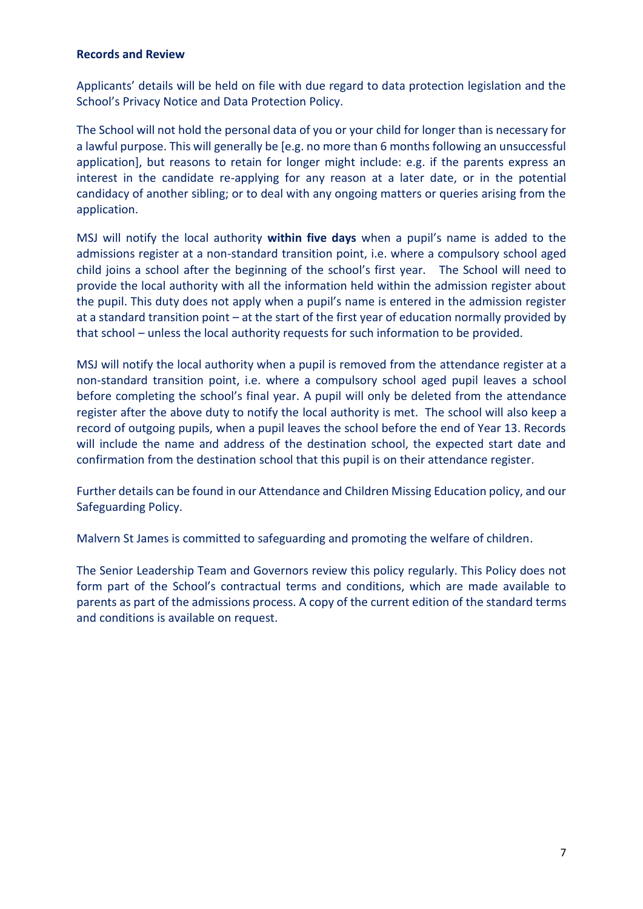#### **Records and Review**

Applicants' details will be held on file with due regard to data protection legislation and the School's Privacy Notice and Data Protection Policy.

The School will not hold the personal data of you or your child for longer than is necessary for a lawful purpose. This will generally be [e.g. no more than 6 months following an unsuccessful application], but reasons to retain for longer might include: e.g. if the parents express an interest in the candidate re-applying for any reason at a later date, or in the potential candidacy of another sibling; or to deal with any ongoing matters or queries arising from the application.

MSJ will notify the local authority **within five days** when a pupil's name is added to the admissions register at a non-standard transition point, i.e. where a compulsory school aged child joins a school after the beginning of the school's first year. The School will need to provide the local authority with all the information held within the admission register about the pupil. This duty does not apply when a pupil's name is entered in the admission register at a standard transition point – at the start of the first year of education normally provided by that school – unless the local authority requests for such information to be provided.

MSJ will notify the local authority when a pupil is removed from the attendance register at a non-standard transition point, i.e. where a compulsory school aged pupil leaves a school before completing the school's final year. A pupil will only be deleted from the attendance register after the above duty to notify the local authority is met. The school will also keep a record of outgoing pupils, when a pupil leaves the school before the end of Year 13. Records will include the name and address of the destination school, the expected start date and confirmation from the destination school that this pupil is on their attendance register.

Further details can be found in our Attendance and Children Missing Education policy, and our Safeguarding Policy.

Malvern St James is committed to safeguarding and promoting the welfare of children.

The Senior Leadership Team and Governors review this policy regularly. This Policy does not form part of the School's contractual terms and conditions, which are made available to parents as part of the admissions process. A copy of the current edition of the standard terms and conditions is available on request.